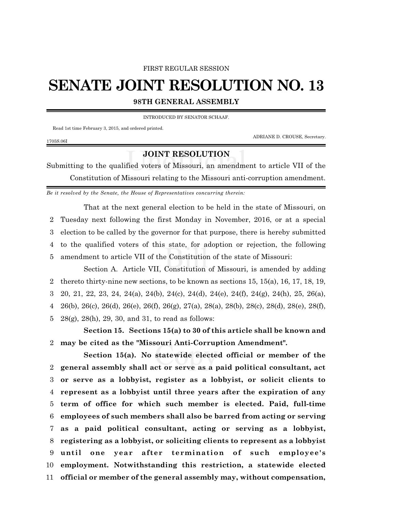## FIRST REGULAR SESSION

## **SENATE JOINT RESOLUTION NO. 13**

**98TH GENERAL ASSEMBLY**

INTRODUCED BY SENATOR SCHAAF.

Read 1st time February 3, 2015, and ordered printed.

ADRIANE D. CROUSE, Secretary.

## 1705S.06I

## **JOINT RESOLUTION**

Submitting to the qualified voters of Missouri, an amendment to article VII of the Constitution of Missouri relating to the Missouri anti-corruption amendment.

*Be it resolved by the Senate, the House of Representatives concurring therein:*

That at the next general election to be held in the state of Missouri, on Tuesday next following the first Monday in November, 2016, or at a special election to be called by the governor for that purpose, there is hereby submitted to the qualified voters of this state, for adoption or rejection, the following amendment to article VII of the Constitution of the state of Missouri:

Section A. Article VII, Constitution of Missouri, is amended by adding thereto thirty-nine new sections, to be known as sections 15, 15(a), 16, 17, 18, 19, 20, 21, 22, 23, 24, 24(a), 24(b), 24(c), 24(d), 24(e), 24(f), 24(g), 24(h), 25, 26(a), 26(b), 26(c), 26(d), 26(e), 26(f), 26(g), 27(a), 28(a), 28(b), 28(c), 28(d), 28(e), 28(f), 28(g), 28(h), 29, 30, and 31, to read as follows:

**Section 15. Sections 15(a) to 30 of this article shall be known and** 2 **may be cited as the "Missouri Anti-Corruption Amendment".**

**Section 15(a). No statewide elected official or member of the general assembly shall act or serve as a paid political consultant, act or serve as a lobbyist, register as a lobbyist, or solicit clients to represent as a lobbyist until three years after the expiration of any term of office for which such member is elected. Paid, full-time employees of such members shall also be barred from acting or serving as a paid political consultant, acting or serving as a lobbyist, registering as a lobbyist, or soliciting clients to represent as a lobbyist until one year after termination of such employee's employment. Notwithstanding this restriction, a statewide elected official or member of the general assembly may, without compensation,**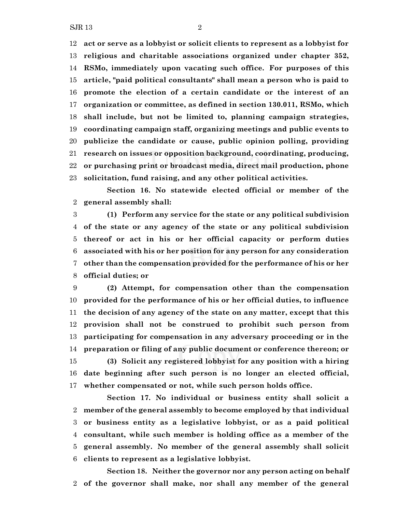**act or serve as a lobbyist or solicit clients to represent as a lobbyist for religious and charitable associations organized under chapter 352, RSMo, immediately upon vacating such office. For purposes of this article, "paid political consultants" shall mean a person who is paid to promote the election of a certain candidate or the interest of an organization or committee, as defined in section 130.011, RSMo, which shall include, but not be limited to, planning campaign strategies, coordinating campaign staff, organizing meetings and public events to publicize the candidate or cause, public opinion polling, providing research on issues or opposition background, coordinating, producing, or purchasing print or broadcast media, direct mail production, phone solicitation, fund raising, and any other political activities.**

**Section 16. No statewide elected official or member of the general assembly shall:**

 **(1) Perform any service for the state or any political subdivision of the state or any agency of the state or any political subdivision thereof or act in his or her official capacity or perform duties associated with his or her position for any person for any consideration other than the compensation provided for the performance of his or her official duties; or**

 **(2) Attempt, for compensation other than the compensation provided for the performance of his or her official duties, to influence the decision of any agency of the state on any matter, except that this provision shall not be construed to prohibit such person from participating for compensation in any adversary proceeding or in the preparation or filing of any public document or conference thereon; or (3) Solicit any registered lobbyist for any position with a hiring date beginning after such person is no longer an elected official, whether compensated or not, while such person holds office.**

**Section 17. No individual or business entity shall solicit a member of the general assembly to become employed by that individual or business entity as a legislative lobbyist, or as a paid political consultant, while such member is holding office as a member of the general assembly. No member of the general assembly shall solicit clients to represent as a legislative lobbyist.**

**Section 18. Neither the governor nor any person acting on behalf of the governor shall make, nor shall any member of the general**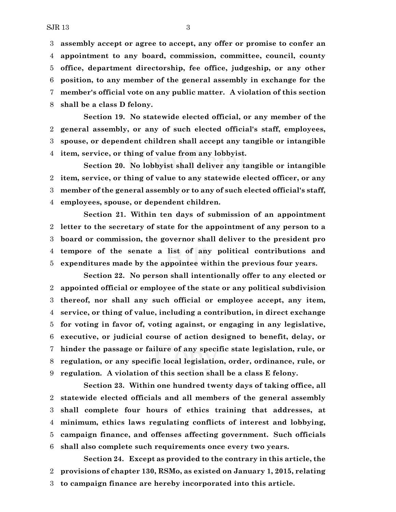**assembly accept or agree to accept, any offer or promise to confer an appointment to any board, commission, committee, council, county office, department directorship, fee office, judgeship, or any other position, to any member of the general assembly in exchange for the member's official vote on any public matter. A violation of this section shall be a class D felony.**

**Section 19. No statewide elected official, or any member of the general assembly, or any of such elected official's staff, employees, spouse, or dependent children shall accept any tangible or intangible item, service, or thing of value from any lobbyist.**

**Section 20. No lobbyist shall deliver any tangible or intangible item, service, or thing of value to any statewide elected officer, or any member of the general assembly or to any of such elected official's staff, employees, spouse, or dependent children.**

**Section 21. Within ten days of submission of an appointment letter to the secretary of state for the appointment of any person to a board or commission, the governor shall deliver to the president pro tempore of the senate a list of any political contributions and expenditures made by the appointee within the previous four years.**

**Section 22. No person shall intentionally offer to any elected or appointed official or employee of the state or any political subdivision thereof, nor shall any such official or employee accept, any item, service, or thing of value, including a contribution, in direct exchange for voting in favor of, voting against, or engaging in any legislative, executive, or judicial course of action designed to benefit, delay, or hinder the passage or failure of any specific state legislation, rule, or regulation, or any specific local legislation, order, ordinance, rule, or regulation. A violation of this section shall be a class E felony.**

**Section 23. Within one hundred twenty days of taking office, all statewide elected officials and all members of the general assembly shall complete four hours of ethics training that addresses, at minimum, ethics laws regulating conflicts of interest and lobbying, campaign finance, and offenses affecting government. Such officials shall also complete such requirements once every two years.**

**Section 24. Except as provided to the contrary in this article, the provisions of chapter 130, RSMo, as existed on January 1, 2015, relating to campaign finance are hereby incorporated into this article.**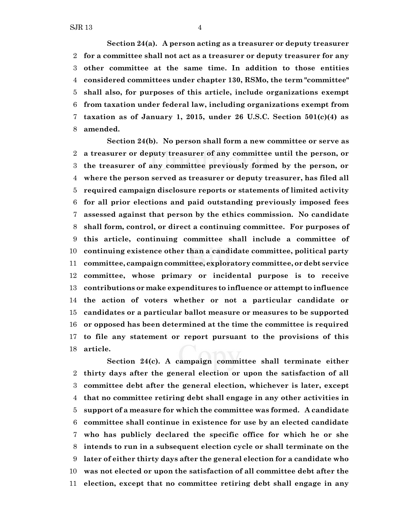**Section 24(a). A person acting as a treasurer or deputy treasurer for a committee shall not act as a treasurer or deputy treasurer for any other committee at the same time. In addition to those entities considered committees under chapter 130, RSMo, the term "committee" shall also, for purposes of this article, include organizations exempt from taxation under federal law, including organizations exempt from taxation as of January 1, 2015, under 26 U.S.C. Section 501(c)(4) as amended.**

**Section 24(b). No person shall form a new committee or serve as a treasurer or deputy treasurer of any committee until the person, or the treasurer of any committee previously formed by the person, or where the person served as treasurer or deputy treasurer, has filed all required campaign disclosure reports or statements of limited activity for all prior elections and paid outstanding previously imposed fees assessed against that person by the ethics commission. No candidate shall form, control, or direct a continuing committee. For purposes of this article, continuing committee shall include a committee of continuing existence other than a candidate committee, political party committee, campaign committee, exploratory committee, or debt service committee, whose primary or incidental purpose is to receive contributions or make expenditures to influence or attempt to influence the action of voters whether or not a particular candidate or candidates or a particular ballot measure or measures to be supported or opposed has been determined at the time the committee is required to file any statement or report pursuant to the provisions of this article.**

**Section 24(c). A campaign committee shall terminate either thirty days after the general election or upon the satisfaction of all committee debt after the general election, whichever is later, except that no committee retiring debt shall engage in any other activities in support of a measure for which the committee was formed. A candidate committee shall continue in existence for use by an elected candidate who has publicly declared the specific office for which he or she intends to run in a subsequent election cycle or shall terminate on the later of either thirty days after the general election for a candidate who was not elected or upon the satisfaction of all committee debt after the election, except that no committee retiring debt shall engage in any**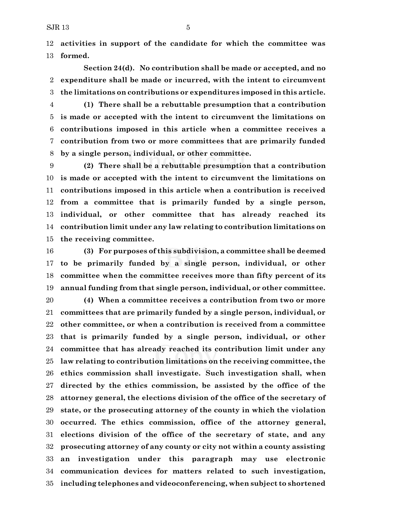**activities in support of the candidate for which the committee was formed.**

**Section 24(d). No contribution shall be made or accepted, and no expenditure shall be made or incurred, with the intent to circumvent the limitations on contributions or expenditures imposed in this article.**

 **(1) There shall be a rebuttable presumption that a contribution is made or accepted with the intent to circumvent the limitations on contributions imposed in this article when a committee receives a contribution from two or more committees that are primarily funded by a single person, individual, or other committee.**

 **(2) There shall be a rebuttable presumption that a contribution is made or accepted with the intent to circumvent the limitations on contributions imposed in this article when a contribution is received from a committee that is primarily funded by a single person, individual, or other committee that has already reached its contribution limit under any law relating to contribution limitations on the receiving committee.**

 **(3) For purposes of this subdivision, a committee shall be deemed to be primarily funded by a single person, individual, or other committee when the committee receives more than fifty percent of its annual funding from that single person, individual, or other committee.**

 **(4) When a committee receives a contribution from two or more committees that are primarily funded by a single person, individual, or other committee, or when a contribution is received from a committee that is primarily funded by a single person, individual, or other committee that has already reached its contribution limit under any law relating to contribution limitations on the receiving committee, the ethics commission shall investigate. Such investigation shall, when directed by the ethics commission, be assisted by the office of the attorney general, the elections division of the office of the secretary of state, or the prosecuting attorney of the county in which the violation occurred. The ethics commission, office of the attorney general, elections division of the office of the secretary of state, and any prosecuting attorney of any county or city not within a county assisting an investigation under this paragraph may use electronic communication devices for matters related to such investigation, including telephones and videoconferencing, when subject to shortened**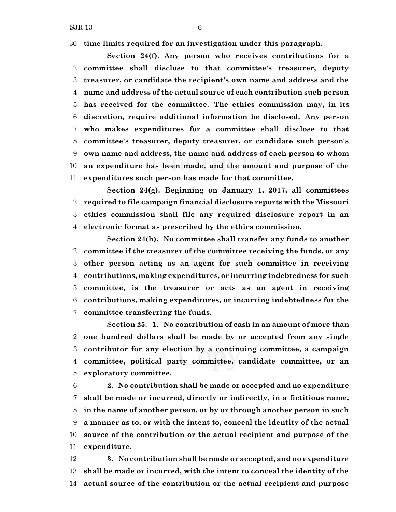$SJR 13$  6

**time limits required for an investigation under this paragraph.**

**Section 24(f). Any person who receives contributions for a committee shall disclose to that committee's treasurer, deputy treasurer, or candidate the recipient's own name and address and the name and address of the actual source of each contribution such person has received for the committee. The ethics commission may, in its discretion, require additional information be disclosed. Any person who makes expenditures for a committee shall disclose to that committee's treasurer, deputy treasurer, or candidate such person's own name and address, the name and address of each person to whom an expenditure has been made, and the amount and purpose of the expenditures such person has made for that committee.**

**Section 24(g). Beginning on January 1, 2017, all committees required to file campaign financial disclosure reports with the Missouri ethics commission shall file any required disclosure report in an electronic format as prescribed by the ethics commission.**

**Section 24(h). No committee shall transfer any funds to another committee if the treasurer of the committee receiving the funds, or any other person acting as an agent for such committee in receiving contributions, making expenditures, or incurring indebtedness for such committee, is the treasurer or acts as an agent in receiving contributions, making expenditures, or incurring indebtedness for the committee transferring the funds.**

**Section 25. 1. No contribution of cash in an amount of more than one hundred dollars shall be made by or accepted from any single contributor for any election by a continuing committee, a campaign committee, political party committee, candidate committee, or an exploratory committee.**

 **2. No contribution shall be made or accepted and no expenditure shall be made or incurred, directly or indirectly, in a fictitious name, in the name of another person, or by or through another person in such a manner as to, or with the intent to, conceal the identity of the actual source of the contribution or the actual recipient and purpose of the expenditure.**

 **3. No contribution shall be made or accepted, and no expenditure shall be made or incurred, with the intent to conceal the identity of the actual source of the contribution or the actual recipient and purpose**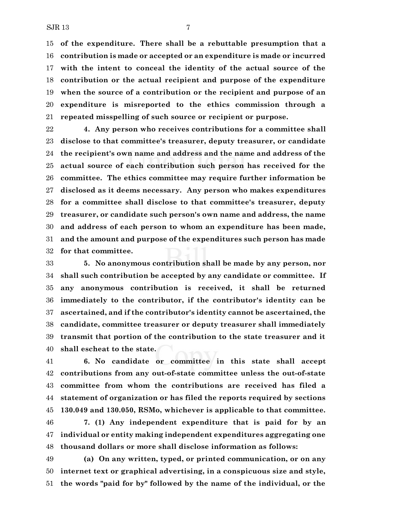**of the expenditure. There shall be a rebuttable presumption that a contribution is made or accepted or an expenditure is made or incurred with the intent to conceal the identity of the actual source of the contribution or the actual recipient and purpose of the expenditure when the source of a contribution or the recipient and purpose of an expenditure is misreported to the ethics commission through a repeated misspelling of such source or recipient or purpose.**

 **4. Any person who receives contributions for a committee shall disclose to that committee's treasurer, deputy treasurer, or candidate the recipient's own name and address and the name and address of the actual source of each contribution such person has received for the committee. The ethics committee may require further information be disclosed as it deems necessary. Any person who makes expenditures for a committee shall disclose to that committee's treasurer, deputy treasurer, or candidate such person's own name and address, the name and address of each person to whom an expenditure has been made, and the amount and purpose of the expenditures such person has made for that committee.**

 **5. No anonymous contribution shall be made by any person, nor shall such contribution be accepted by any candidate or committee. If any anonymous contribution is received, it shall be returned immediately to the contributor, if the contributor's identity can be ascertained, and if the contributor's identity cannot be ascertained, the candidate, committee treasurer or deputy treasurer shall immediately transmit that portion of the contribution to the state treasurer and it shall escheat to the state.**

 **6. No candidate or committee in this state shall accept contributions from any out-of-state committee unless the out-of-state committee from whom the contributions are received has filed a statement of organization or has filed the reports required by sections 130.049 and 130.050, RSMo, whichever is applicable to that committee.**

 **7. (1) Any independent expenditure that is paid for by an individual or entity making independent expenditures aggregating one thousand dollars or more shall disclose information as follows:**

 **(a) On any written, typed, or printed communication, or on any internet text or graphical advertising, in a conspicuous size and style, the words "paid for by" followed by the name of the individual, or the**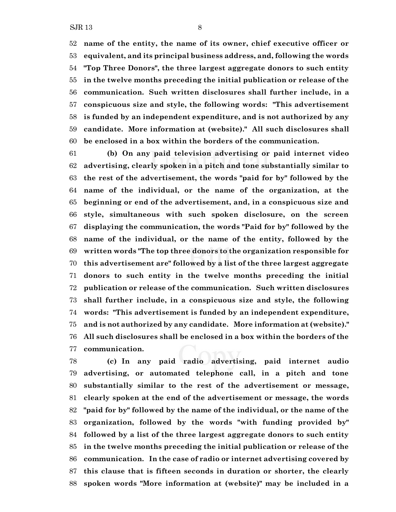**name of the entity, the name of its owner, chief executive officer or equivalent, and its principal business address, and, following the words "Top Three Donors", the three largest aggregate donors to such entity in the twelve months preceding the initial publication or release of the communication. Such written disclosures shall further include, in a conspicuous size and style, the following words: "This advertisement is funded by an independent expenditure, and is not authorized by any candidate. More information at (website)." All such disclosures shall be enclosed in a box within the borders of the communication.**

 **(b) On any paid television advertising or paid internet video advertising, clearly spoken in a pitch and tone substantially similar to the rest of the advertisement, the words "paid for by" followed by the name of the individual, or the name of the organization, at the beginning or end of the advertisement, and, in a conspicuous size and style, simultaneous with such spoken disclosure, on the screen displaying the communication, the words "Paid for by" followed by the name of the individual, or the name of the entity, followed by the written words "The top three donors to the organization responsible for this advertisement are" followed by a list of the three largest aggregate donors to such entity in the twelve months preceding the initial publication or release of the communication. Such written disclosures shall further include, in a conspicuous size and style, the following words: "This advertisement is funded by an independent expenditure, and is not authorized by any candidate. More information at (website)." All such disclosures shall be enclosed in a box within the borders of the communication.**

 **(c) In any paid radio advertising, paid internet audio advertising, or automated telephone call, in a pitch and tone substantially similar to the rest of the advertisement or message, clearly spoken at the end of the advertisement or message, the words "paid for by" followed by the name of the individual, or the name of the organization, followed by the words "with funding provided by" followed by a list of the three largest aggregate donors to such entity in the twelve months preceding the initial publication or release of the communication. In the case of radio or internet advertising covered by this clause that is fifteen seconds in duration or shorter, the clearly spoken words "More information at (website)" may be included in a**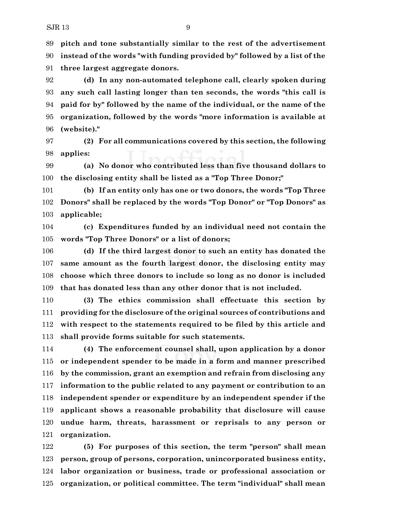**pitch and tone substantially similar to the rest of the advertisement instead of the words "with funding provided by" followed by a list of the three largest aggregate donors.**

 **(d) In any non-automated telephone call, clearly spoken during any such call lasting longer than ten seconds, the words "this call is paid for by" followed by the name of the individual, or the name of the organization, followed by the words "more information is available at (website)."**

 **(2) For all communications covered by this section, the following applies:**

 **(a) No donor who contributed less than five thousand dollars to the disclosing entity shall be listed as a "Top Three Donor;"**

 **(b) If an entity only has one or two donors, the words "Top Three Donors" shall be replaced by the words "Top Donor" or "Top Donors" as applicable;**

 **(c) Expenditures funded by an individual need not contain the words "Top Three Donors" or a list of donors;**

 **(d) If the third largest donor to such an entity has donated the same amount as the fourth largest donor, the disclosing entity may choose which three donors to include so long as no donor is included that has donated less than any other donor that is not included.**

 **(3) The ethics commission shall effectuate this section by providing for the disclosure of the original sources of contributions and with respect to the statements required to be filed by this article and shall provide forms suitable for such statements.**

 **(4) The enforcement counsel shall, upon application by a donor or independent spender to be made in a form and manner prescribed by the commission, grant an exemption and refrain from disclosing any information to the public related to any payment or contribution to an independent spender or expenditure by an independent spender if the applicant shows a reasonable probability that disclosure will cause undue harm, threats, harassment or reprisals to any person or organization.**

 **(5) For purposes of this section, the term "person" shall mean person, group of persons, corporation, unincorporated business entity, labor organization or business, trade or professional association or organization, or political committee. The term "individual" shall mean**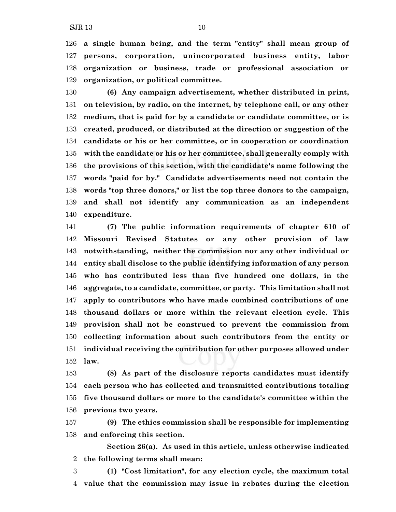**(6) Any campaign advertisement, whether distributed in print, on television, by radio, on the internet, by telephone call, or any other medium, that is paid for by a candidate or candidate committee, or is created, produced, or distributed at the direction or suggestion of the candidate or his or her committee, or in cooperation or coordination with the candidate or his or her committee, shall generally comply with the provisions of this section, with the candidate's name following the words "paid for by." Candidate advertisements need not contain the words "top three donors," or list the top three donors to the campaign, and shall not identify any communication as an independent expenditure.**

 **(7) The public information requirements of chapter 610 of Missouri Revised Statutes or any other provision of law notwithstanding, neither the commission nor any other individual or entity shall disclose to the public identifying information of any person who has contributed less than five hundred one dollars, in the aggregate, to a candidate, committee, or party. This limitation shall not apply to contributors who have made combined contributions of one thousand dollars or more within the relevant election cycle. This provision shall not be construed to prevent the commission from collecting information about such contributors from the entity or individual receiving the contribution for other purposes allowed under law.**

 **(8) As part of the disclosure reports candidates must identify each person who has collected and transmitted contributions totaling five thousand dollars or more to the candidate's committee within the previous two years.**

 **(9) The ethics commission shall be responsible for implementing and enforcing this section.**

**Section 26(a). As used in this article, unless otherwise indicated the following terms shall mean:**

 **(1) "Cost limitation", for any election cycle, the maximum total value that the commission may issue in rebates during the election**

**organization, or political committee.**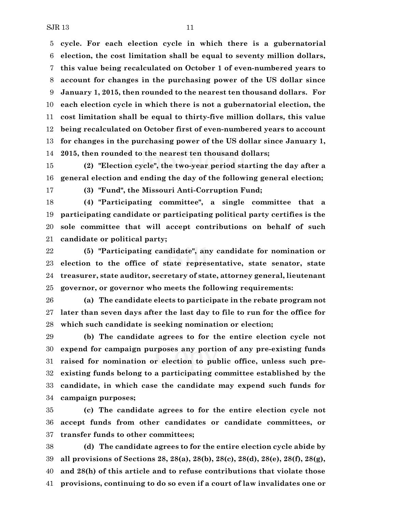**cycle. For each election cycle in which there is a gubernatorial election, the cost limitation shall be equal to seventy million dollars, this value being recalculated on October 1 of even-numbered years to account for changes in the purchasing power of the US dollar since January 1, 2015, then rounded to the nearest ten thousand dollars. For each election cycle in which there is not a gubernatorial election, the cost limitation shall be equal to thirty-five million dollars, this value being recalculated on October first of even-numbered years to account for changes in the purchasing power of the US dollar since January 1, 2015, then rounded to the nearest ten thousand dollars;**

 **(2) "Election cycle", the two-year period starting the day after a general election and ending the day of the following general election;**

**(3) "Fund", the Missouri Anti-Corruption Fund;**

 **(4) "Participating committee", a single committee that a participating candidate or participating political party certifies is the sole committee that will accept contributions on behalf of such candidate or political party;**

 **(5) "Participating candidate", any candidate for nomination or election to the office of state representative, state senator, state treasurer, state auditor, secretary of state, attorney general, lieutenant governor, or governor who meets the following requirements:**

 **(a) The candidate elects to participate in the rebate program not later than seven days after the last day to file to run for the office for which such candidate is seeking nomination or election;**

 **(b) The candidate agrees to for the entire election cycle not expend for campaign purposes any portion of any pre-existing funds raised for nomination or election to public office, unless such pre- existing funds belong to a participating committee established by the candidate, in which case the candidate may expend such funds for campaign purposes;**

 **(c) The candidate agrees to for the entire election cycle not accept funds from other candidates or candidate committees, or transfer funds to other committees;**

 **(d) The candidate agrees to for the entire election cycle abide by all provisions of Sections 28, 28(a), 28(b), 28(c), 28(d), 28(e), 28(f), 28(g), and 28(h) of this article and to refuse contributions that violate those provisions, continuing to do so even if a court of law invalidates one or**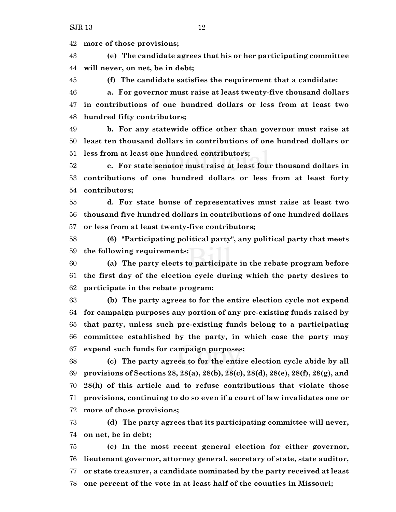**more of those provisions;**

 **(e) The candidate agrees that his or her participating committee will never, on net, be in debt;**

**(f) The candidate satisfies the requirement that a candidate:**

 **a. For governor must raise at least twenty-five thousand dollars in contributions of one hundred dollars or less from at least two hundred fifty contributors;**

 **b. For any statewide office other than governor must raise at least ten thousand dollars in contributions of one hundred dollars or less from at least one hundred contributors;**

 **c. For state senator must raise at least four thousand dollars in contributions of one hundred dollars or less from at least forty contributors;**

 **d. For state house of representatives must raise at least two thousand five hundred dollars in contributions of one hundred dollars or less from at least twenty-five contributors;**

 **(6) "Participating political party", any political party that meets the following requirements:**

 **(a) The party elects to participate in the rebate program before the first day of the election cycle during which the party desires to participate in the rebate program;**

 **(b) The party agrees to for the entire election cycle not expend for campaign purposes any portion of any pre-existing funds raised by that party, unless such pre-existing funds belong to a participating committee established by the party, in which case the party may expend such funds for campaign purposes;**

 **(c) The party agrees to for the entire election cycle abide by all provisions of Sections 28, 28(a), 28(b), 28(c), 28(d), 28(e), 28(f), 28(g), and 28(h) of this article and to refuse contributions that violate those provisions, continuing to do so even if a court of law invalidates one or more of those provisions;**

 **(d) The party agrees that its participating committee will never, on net, be in debt;**

 **(e) In the most recent general election for either governor, lieutenant governor, attorney general, secretary of state, state auditor, or state treasurer, a candidate nominated by the party received at least one percent of the vote in at least half of the counties in Missouri;**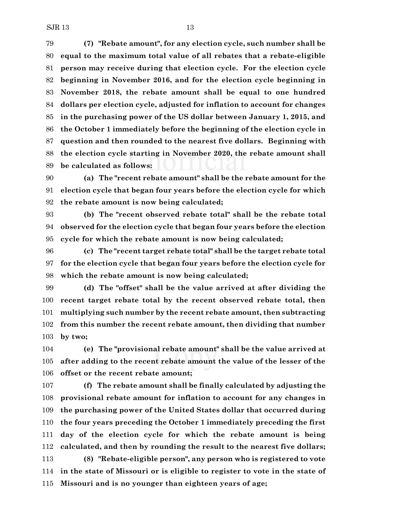**(7) "Rebate amount", for any election cycle, such number shall be equal to the maximum total value of all rebates that a rebate-eligible person may receive during that election cycle. For the election cycle beginning in November 2016, and for the election cycle beginning in November 2018, the rebate amount shall be equal to one hundred dollars per election cycle, adjusted for inflation to account for changes in the purchasing power of the US dollar between January 1, 2015, and the October 1 immediately before the beginning of the election cycle in question and then rounded to the nearest five dollars. Beginning with the election cycle starting in November 2020, the rebate amount shall be calculated as follows:**

 **(a) The "recent rebate amount" shall be the rebate amount for the election cycle that began four years before the election cycle for which the rebate amount is now being calculated;**

 **(b) The "recent observed rebate total" shall be the rebate total observed for the election cycle that began four years before the election cycle for which the rebate amount is now being calculated;**

 **(c) The "recent target rebate total" shall be the target rebate total for the election cycle that began four years before the election cycle for which the rebate amount is now being calculated;**

 **(d) The "offset" shall be the value arrived at after dividing the recent target rebate total by the recent observed rebate total, then multiplying such number by the recent rebate amount, then subtracting from this number the recent rebate amount, then dividing that number by two;**

 **(e) The "provisional rebate amount" shall be the value arrived at after adding to the recent rebate amount the value of the lesser of the offset or the recent rebate amount;**

 **(f) The rebate amount shall be finally calculated by adjusting the provisional rebate amount for inflation to account for any changes in the purchasing power of the United States dollar that occurred during the four years preceding the October 1 immediately preceding the first day of the election cycle for which the rebate amount is being calculated, and then by rounding the result to the nearest five dollars; (8) "Rebate-eligible person", any person who is registered to vote in the state of Missouri or is eligible to register to vote in the state of Missouri and is no younger than eighteen years of age;**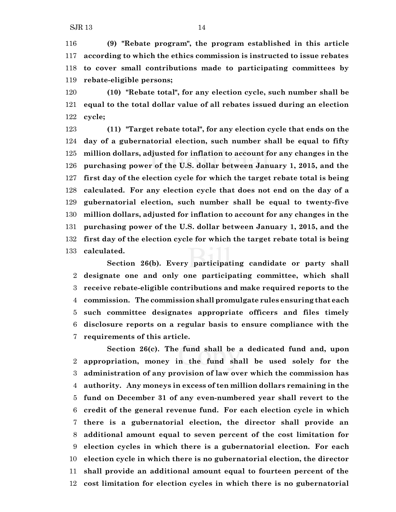**(9) "Rebate program", the program established in this article according to which the ethics commission is instructed to issue rebates to cover small contributions made to participating committees by rebate-eligible persons;**

 **(10) "Rebate total", for any election cycle, such number shall be equal to the total dollar value of all rebates issued during an election cycle;**

 **(11) "Target rebate total", for any election cycle that ends on the day of a gubernatorial election, such number shall be equal to fifty million dollars, adjusted for inflation to account for any changes in the purchasing power of the U.S. dollar between January 1, 2015, and the first day of the election cycle for which the target rebate total is being calculated. For any election cycle that does not end on the day of a gubernatorial election, such number shall be equal to twenty-five million dollars, adjusted for inflation to account for any changes in the purchasing power of the U.S. dollar between January 1, 2015, and the first day of the election cycle for which the target rebate total is being calculated.**

**Section 26(b). Every participating candidate or party shall designate one and only one participating committee, which shall receive rebate-eligible contributions and make required reports to the commission. The commission shall promulgate rules ensuring that each such committee designates appropriate officers and files timely disclosure reports on a regular basis to ensure compliance with the requirements of this article.**

**Section 26(c). The fund shall be a dedicated fund and, upon appropriation, money in the fund shall be used solely for the administration of any provision of law over which the commission has authority. Any moneys in excess of ten million dollars remaining in the fund on December 31 of any even-numbered year shall revert to the credit of the general revenue fund. For each election cycle in which there is a gubernatorial election, the director shall provide an additional amount equal to seven percent of the cost limitation for election cycles in which there is a gubernatorial election. For each election cycle in which there is no gubernatorial election, the director shall provide an additional amount equal to fourteen percent of the cost limitation for election cycles in which there is no gubernatorial**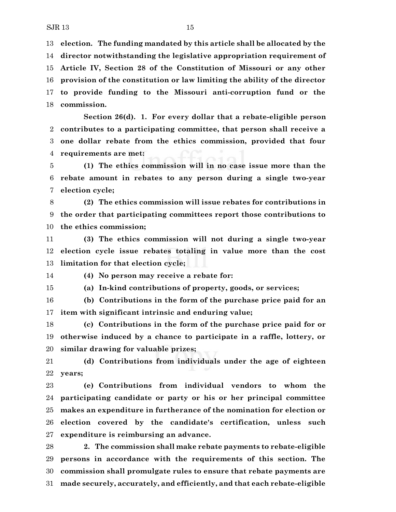**election. The funding mandated by this article shall be allocated by the director notwithstanding the legislative appropriation requirement of Article IV, Section 28 of the Constitution of Missouri or any other provision of the constitution or law limiting the ability of the director to provide funding to the Missouri anti-corruption fund or the commission.**

**Section 26(d). 1. For every dollar that a rebate-eligible person contributes to a participating committee, that person shall receive a one dollar rebate from the ethics commission, provided that four requirements are met:**

 **(1) The ethics commission will in no case issue more than the rebate amount in rebates to any person during a single two-year election cycle;**

 **(2) The ethics commission will issue rebates for contributions in the order that participating committees report those contributions to the ethics commission;**

 **(3) The ethics commission will not during a single two-year election cycle issue rebates totaling in value more than the cost limitation for that election cycle;**

**(4) No person may receive a rebate for:**

**(a) In-kind contributions of property, goods, or services;**

 **(b) Contributions in the form of the purchase price paid for an item with significant intrinsic and enduring value;**

 **(c) Contributions in the form of the purchase price paid for or otherwise induced by a chance to participate in a raffle, lottery, or similar drawing for valuable prizes;**

 **(d) Contributions from individuals under the age of eighteen years;**

 **(e) Contributions from individual vendors to whom the participating candidate or party or his or her principal committee makes an expenditure in furtherance of the nomination for election or election covered by the candidate's certification, unless such expenditure is reimbursing an advance.**

 **2. The commission shall make rebate payments to rebate-eligible persons in accordance with the requirements of this section. The commission shall promulgate rules to ensure that rebate payments are made securely, accurately, and efficiently, and that each rebate-eligible**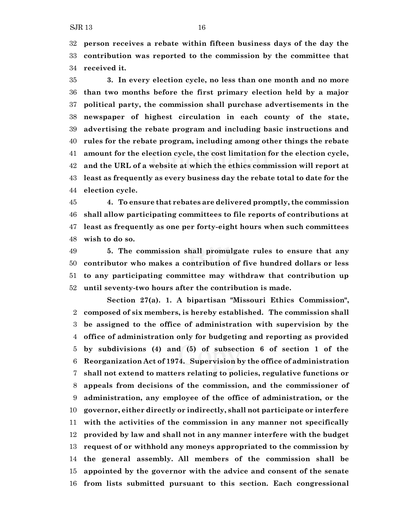**person receives a rebate within fifteen business days of the day the contribution was reported to the commission by the committee that received it.**

 **3. In every election cycle, no less than one month and no more than two months before the first primary election held by a major political party, the commission shall purchase advertisements in the newspaper of highest circulation in each county of the state, advertising the rebate program and including basic instructions and rules for the rebate program, including among other things the rebate amount for the election cycle, the cost limitation for the election cycle, and the URL of a website at which the ethics commission will report at least as frequently as every business day the rebate total to date for the election cycle.**

 **4. To ensure that rebates are delivered promptly, the commission shall allow participating committees to file reports of contributions at least as frequently as one per forty-eight hours when such committees wish to do so.**

 **5. The commission shall promulgate rules to ensure that any contributor who makes a contribution of five hundred dollars or less to any participating committee may withdraw that contribution up until seventy-two hours after the contribution is made.**

**Section 27(a). 1. A bipartisan "Missouri Ethics Commission", composed of six members, is hereby established. The commission shall be assigned to the office of administration with supervision by the office of administration only for budgeting and reporting as provided by subdivisions (4) and (5) of subsection 6 of section 1 of the Reorganization Act of 1974. Supervision by the office of administration shall not extend to matters relating to policies, regulative functions or appeals from decisions of the commission, and the commissioner of administration, any employee of the office of administration, or the governor, either directly or indirectly, shall not participate or interfere with the activities of the commission in any manner not specifically provided by law and shall not in any manner interfere with the budget request of or withhold any moneys appropriated to the commission by the general assembly. All members of the commission shall be appointed by the governor with the advice and consent of the senate from lists submitted pursuant to this section. Each congressional**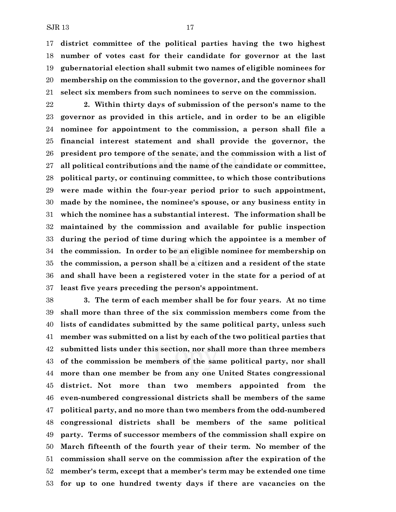**district committee of the political parties having the two highest number of votes cast for their candidate for governor at the last gubernatorial election shall submit two names of eligible nominees for membership on the commission to the governor, and the governor shall select six members from such nominees to serve on the commission.**

 **2. Within thirty days of submission of the person's name to the governor as provided in this article, and in order to be an eligible nominee for appointment to the commission, a person shall file a financial interest statement and shall provide the governor, the president pro tempore of the senate, and the commission with a list of all political contributions and the name of the candidate or committee, political party, or continuing committee, to which those contributions were made within the four-year period prior to such appointment, made by the nominee, the nominee's spouse, or any business entity in which the nominee has a substantial interest. The information shall be maintained by the commission and available for public inspection during the period of time during which the appointee is a member of the commission. In order to be an eligible nominee for membership on the commission, a person shall be a citizen and a resident of the state and shall have been a registered voter in the state for a period of at least five years preceding the person's appointment.**

 **3. The term of each member shall be for four years. At no time shall more than three of the six commission members come from the lists of candidates submitted by the same political party, unless such member was submitted on a list by each of the two political parties that submitted lists under this section, nor shall more than three members of the commission be members of the same political party, nor shall more than one member be from any one United States congressional district. Not more than two members appointed from the even-numbered congressional districts shall be members of the same political party, and no more than two members from the odd-numbered congressional districts shall be members of the same political party. Terms of successor members of the commission shall expire on March fifteenth of the fourth year of their term. No member of the commission shall serve on the commission after the expiration of the member's term, except that a member's term may be extended one time for up to one hundred twenty days if there are vacancies on the**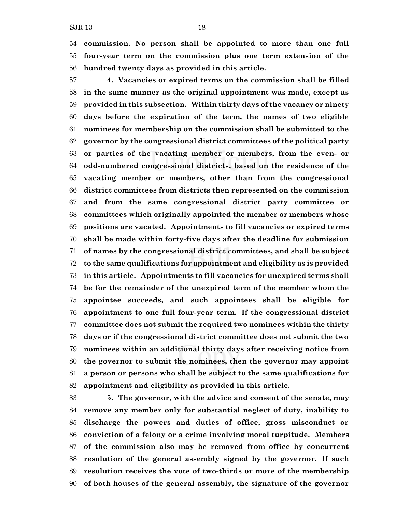**hundred twenty days as provided in this article. 4. Vacancies or expired terms on the commission shall be filled in the same manner as the original appointment was made, except as provided in this subsection. Within thirty days of the vacancy or ninety days before the expiration of the term, the names of two eligible nominees for membership on the commission shall be submitted to the governor by the congressional district committees of the political party or parties of the vacating member or members, from the even- or odd-numbered congressional districts, based on the residence of the vacating member or members, other than from the congressional district committees from districts then represented on the commission and from the same congressional district party committee or**

 **committees which originally appointed the member or members whose positions are vacated. Appointments to fill vacancies or expired terms shall be made within forty-five days after the deadline for submission of names by the congressional district committees, and shall be subject to the same qualifications for appointment and eligibility as is provided in this article. Appointments to fill vacancies for unexpired terms shall be for the remainder of the unexpired term of the member whom the appointee succeeds, and such appointees shall be eligible for appointment to one full four-year term. If the congressional district committee does not submit the required two nominees within the thirty days or if the congressional district committee does not submit the two nominees within an additional thirty days after receiving notice from the governor to submit the nominees, then the governor may appoint a person or persons who shall be subject to the same qualifications for appointment and eligibility as provided in this article.**

 **5. The governor, with the advice and consent of the senate, may remove any member only for substantial neglect of duty, inability to discharge the powers and duties of office, gross misconduct or conviction of a felony or a crime involving moral turpitude. Members of the commission also may be removed from office by concurrent resolution of the general assembly signed by the governor. If such resolution receives the vote of two-thirds or more of the membership of both houses of the general assembly, the signature of the governor**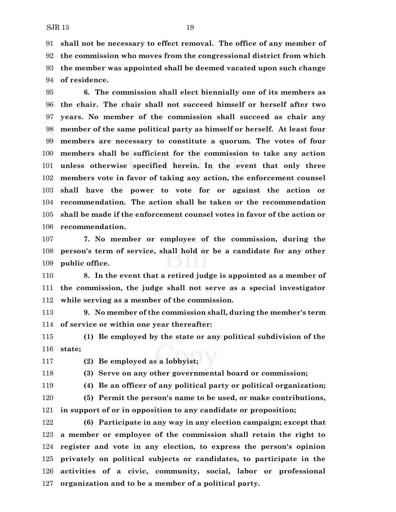**shall not be necessary to effect removal. The office of any member of the commission who moves from the congressional district from which the member was appointed shall be deemed vacated upon such change of residence.**

 **6. The commission shall elect biennially one of its members as the chair. The chair shall not succeed himself or herself after two years. No member of the commission shall succeed as chair any member of the same political party as himself or herself. At least four members are necessary to constitute a quorum. The votes of four members shall be sufficient for the commission to take any action unless otherwise specified herein. In the event that only three members vote in favor of taking any action, the enforcement counsel shall have the power to vote for or against the action or recommendation. The action shall be taken or the recommendation shall be made if the enforcement counsel votes in favor of the action or recommendation.**

 **7. No member or employee of the commission, during the person's term of service, shall hold or be a candidate for any other public office.**

 **8. In the event that a retired judge is appointed as a member of the commission, the judge shall not serve as a special investigator while serving as a member of the commission.**

 **9. No member of the commission shall, during the member's term of service or within one year thereafter:**

 **(1) Be employed by the state or any political subdivision of the state;**

**(2) Be employed as a lobbyist;**

**(3) Serve on any other governmental board or commission;**

**(4) Be an officer of any political party or political organization;**

 **(5) Permit the person's name to be used, or make contributions, in support of or in opposition to any candidate or proposition;**

 **(6) Participate in any way in any election campaign; except that a member or employee of the commission shall retain the right to register and vote in any election, to express the person's opinion privately on political subjects or candidates, to participate in the activities of a civic, community, social, labor or professional organization and to be a member of a political party.**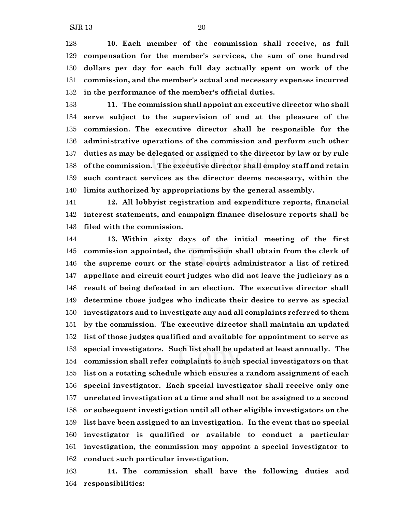**10. Each member of the commission shall receive, as full compensation for the member's services, the sum of one hundred dollars per day for each full day actually spent on work of the commission, and the member's actual and necessary expenses incurred in the performance of the member's official duties.**

 **11. The commission shall appoint an executive director who shall serve subject to the supervision of and at the pleasure of the commission. The executive director shall be responsible for the administrative operations of the commission and perform such other duties as may be delegated or assigned to the director by law or by rule of the commission. The executive director shall employ staff and retain such contract services as the director deems necessary, within the limits authorized by appropriations by the general assembly.**

 **12. All lobbyist registration and expenditure reports, financial interest statements, and campaign finance disclosure reports shall be filed with the commission.**

 **13. Within sixty days of the initial meeting of the first commission appointed, the commission shall obtain from the clerk of the supreme court or the state courts administrator a list of retired appellate and circuit court judges who did not leave the judiciary as a result of being defeated in an election. The executive director shall determine those judges who indicate their desire to serve as special investigators and to investigate any and all complaints referred to them by the commission. The executive director shall maintain an updated list of those judges qualified and available for appointment to serve as special investigators. Such list shall be updated at least annually. The commission shall refer complaints to such special investigators on that list on a rotating schedule which ensures a random assignment of each special investigator. Each special investigator shall receive only one unrelated investigation at a time and shall not be assigned to a second or subsequent investigation until all other eligible investigators on the list have been assigned to an investigation. In the event that no special investigator is qualified or available to conduct a particular investigation, the commission may appoint a special investigator to conduct such particular investigation.**

 **14. The commission shall have the following duties and responsibilities:**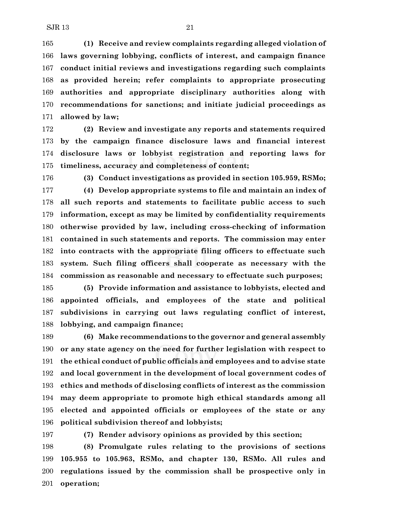**(1) Receive and review complaints regarding alleged violation of laws governing lobbying, conflicts of interest, and campaign finance conduct initial reviews and investigations regarding such complaints as provided herein; refer complaints to appropriate prosecuting authorities and appropriate disciplinary authorities along with recommendations for sanctions; and initiate judicial proceedings as allowed by law;**

 **(2) Review and investigate any reports and statements required by the campaign finance disclosure laws and financial interest disclosure laws or lobbyist registration and reporting laws for timeliness, accuracy and completeness of content;**

 **(3) Conduct investigations as provided in section 105.959, RSMo; (4) Develop appropriate systems to file and maintain an index of all such reports and statements to facilitate public access to such information, except as may be limited by confidentiality requirements**

 **otherwise provided by law, including cross-checking of information contained in such statements and reports. The commission may enter into contracts with the appropriate filing officers to effectuate such system. Such filing officers shall cooperate as necessary with the commission as reasonable and necessary to effectuate such purposes;**

 **(5) Provide information and assistance to lobbyists, elected and appointed officials, and employees of the state and political subdivisions in carrying out laws regulating conflict of interest, lobbying, and campaign finance;**

 **(6) Make recommendations to the governor and general assembly or any state agency on the need for further legislation with respect to the ethical conduct of public officials and employees and to advise state and local government in the development of local government codes of ethics and methods of disclosing conflicts of interest as the commission may deem appropriate to promote high ethical standards among all elected and appointed officials or employees of the state or any political subdivision thereof and lobbyists;**

**(7) Render advisory opinions as provided by this section;**

 **(8) Promulgate rules relating to the provisions of sections 105.955 to 105.963, RSMo, and chapter 130, RSMo. All rules and regulations issued by the commission shall be prospective only in operation;**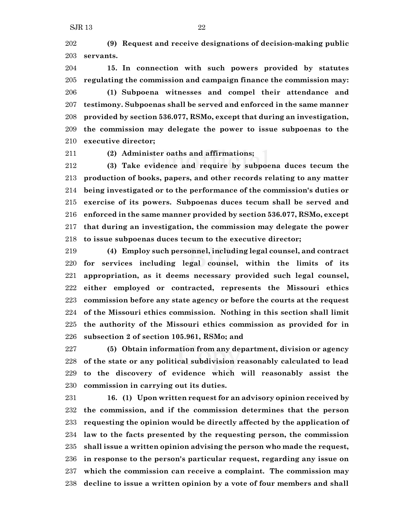**(9) Request and receive designations of decision-making public servants.**

 **15. In connection with such powers provided by statutes regulating the commission and campaign finance the commission may: (1) Subpoena witnesses and compel their attendance and testimony. Subpoenas shall be served and enforced in the same manner provided by section 536.077, RSMo, except that during an investigation, the commission may delegate the power to issue subpoenas to the executive director;**

**(2) Administer oaths and affirmations;**

 **(3) Take evidence and require by subpoena duces tecum the production of books, papers, and other records relating to any matter being investigated or to the performance of the commission's duties or exercise of its powers. Subpoenas duces tecum shall be served and enforced in the same manner provided by section 536.077, RSMo, except that during an investigation, the commission may delegate the power to issue subpoenas duces tecum to the executive director;**

 **(4) Employ such personnel, including legal counsel, and contract for services including legal counsel, within the limits of its appropriation, as it deems necessary provided such legal counsel, either employed or contracted, represents the Missouri ethics commission before any state agency or before the courts at the request of the Missouri ethics commission. Nothing in this section shall limit the authority of the Missouri ethics commission as provided for in subsection 2 of section 105.961, RSMo; and**

 **(5) Obtain information from any department, division or agency of the state or any political subdivision reasonably calculated to lead to the discovery of evidence which will reasonably assist the commission in carrying out its duties.**

 **16. (1) Upon written request for an advisory opinion received by the commission, and if the commission determines that the person requesting the opinion would be directly affected by the application of law to the facts presented by the requesting person, the commission shall issue a written opinion advising the person who made the request, in response to the person's particular request, regarding any issue on which the commission can receive a complaint. The commission may decline to issue a written opinion by a vote of four members and shall**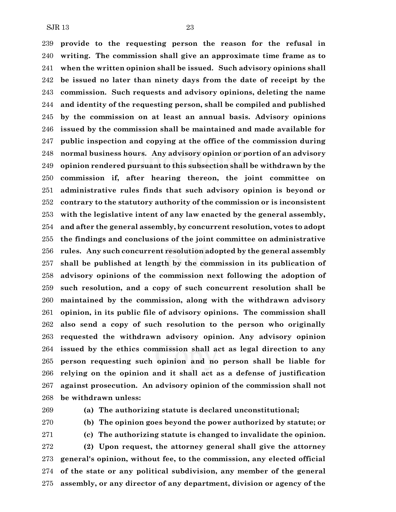**provide to the requesting person the reason for the refusal in writing. The commission shall give an approximate time frame as to when the written opinion shall be issued. Such advisory opinions shall be issued no later than ninety days from the date of receipt by the commission. Such requests and advisory opinions, deleting the name and identity of the requesting person, shall be compiled and published by the commission on at least an annual basis. Advisory opinions issued by the commission shall be maintained and made available for public inspection and copying at the office of the commission during normal business hours. Any advisory opinion or portion of an advisory opinion rendered pursuant to this subsection shall be withdrawn by the commission if, after hearing thereon, the joint committee on administrative rules finds that such advisory opinion is beyond or contrary to the statutory authority of the commission or is inconsistent with the legislative intent of any law enacted by the general assembly, and after the general assembly, by concurrent resolution, votes to adopt the findings and conclusions of the joint committee on administrative rules. Any such concurrent resolution adopted by the general assembly shall be published at length by the commission in its publication of advisory opinions of the commission next following the adoption of such resolution, and a copy of such concurrent resolution shall be maintained by the commission, along with the withdrawn advisory opinion, in its public file of advisory opinions. The commission shall also send a copy of such resolution to the person who originally requested the withdrawn advisory opinion. Any advisory opinion issued by the ethics commission shall act as legal direction to any person requesting such opinion and no person shall be liable for relying on the opinion and it shall act as a defense of justification against prosecution. An advisory opinion of the commission shall not be withdrawn unless:**

**(a) The authorizing statute is declared unconstitutional;**

**(b) The opinion goes beyond the power authorized by statute; or**

**(c) The authorizing statute is changed to invalidate the opinion.**

 **(2) Upon request, the attorney general shall give the attorney general's opinion, without fee, to the commission, any elected official of the state or any political subdivision, any member of the general assembly, or any director of any department, division or agency of the**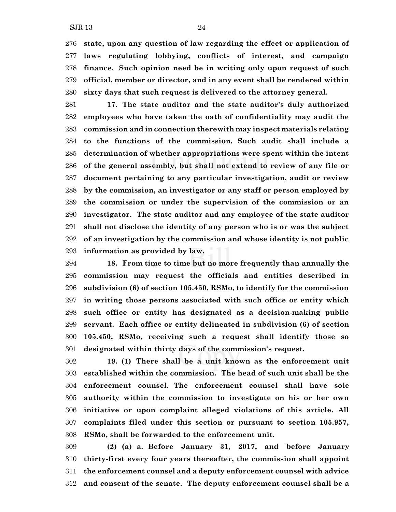**state, upon any question of law regarding the effect or application of laws regulating lobbying, conflicts of interest, and campaign finance. Such opinion need be in writing only upon request of such official, member or director, and in any event shall be rendered within sixty days that such request is delivered to the attorney general.**

 **17. The state auditor and the state auditor's duly authorized employees who have taken the oath of confidentiality may audit the commission and in connection therewith may inspect materials relating to the functions of the commission. Such audit shall include a determination of whether appropriations were spent within the intent of the general assembly, but shall not extend to review of any file or document pertaining to any particular investigation, audit or review by the commission, an investigator or any staff or person employed by the commission or under the supervision of the commission or an investigator. The state auditor and any employee of the state auditor shall not disclose the identity of any person who is or was the subject of an investigation by the commission and whose identity is not public information as provided by law.**

 **18. From time to time but no more frequently than annually the commission may request the officials and entities described in subdivision (6) of section 105.450, RSMo, to identify for the commission in writing those persons associated with such office or entity which such office or entity has designated as a decision-making public servant. Each office or entity delineated in subdivision (6) of section 105.450, RSMo, receiving such a request shall identify those so designated within thirty days of the commission's request.**

 **19. (1) There shall be a unit known as the enforcement unit established within the commission. The head of such unit shall be the enforcement counsel. The enforcement counsel shall have sole authority within the commission to investigate on his or her own initiative or upon complaint alleged violations of this article. All complaints filed under this section or pursuant to section 105.957, RSMo, shall be forwarded to the enforcement unit.**

 **(2) (a) a. Before January 31, 2017, and before January thirty-first every four years thereafter, the commission shall appoint the enforcement counsel and a deputy enforcement counsel with advice and consent of the senate. The deputy enforcement counsel shall be a**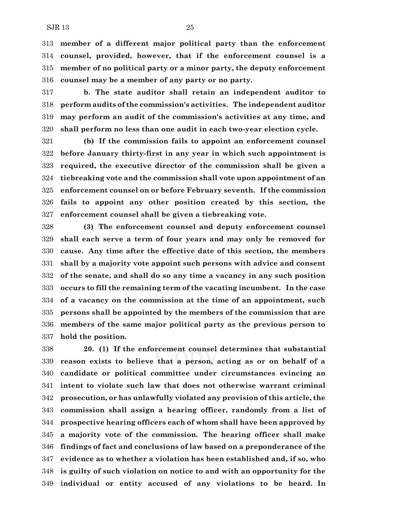**member of a different major political party than the enforcement counsel, provided, however, that if the enforcement counsel is a member of no political party or a minor party, the deputy enforcement counsel may be a member of any party or no party.**

 **b. The state auditor shall retain an independent auditor to perform audits of the commission's activities. The independent auditor may perform an audit of the commission's activities at any time, and shall perform no less than one audit in each two-year election cycle.**

 **(b) If the commission fails to appoint an enforcement counsel before January thirty-first in any year in which such appointment is required, the executive director of the commission shall be given a tiebreaking vote and the commission shall vote upon appointment of an enforcement counsel on or before February seventh. If the commission fails to appoint any other position created by this section, the enforcement counsel shall be given a tiebreaking vote.**

 **(3) The enforcement counsel and deputy enforcement counsel shall each serve a term of four years and may only be removed for cause. Any time after the effective date of this section, the members shall by a majority vote appoint such persons with advice and consent of the senate, and shall do so any time a vacancy in any such position occurs to fill the remaining term of the vacating incumbent. In the case of a vacancy on the commission at the time of an appointment, such persons shall be appointed by the members of the commission that are members of the same major political party as the previous person to hold the position.**

 **20. (1) If the enforcement counsel determines that substantial reason exists to believe that a person, acting as or on behalf of a candidate or political committee under circumstances evincing an intent to violate such law that does not otherwise warrant criminal prosecution, or has unlawfully violated any provision of this article, the commission shall assign a hearing officer, randomly from a list of prospective hearing officers each of whom shall have been approved by a majority vote of the commission. The hearing officer shall make findings of fact and conclusions of law based on a preponderance of the evidence as to whether a violation has been established and, if so, who is guilty of such violation on notice to and with an opportunity for the individual or entity accused of any violations to be heard. In**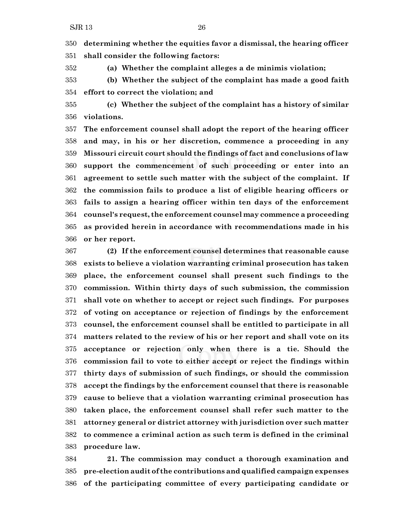**determining whether the equities favor a dismissal, the hearing officer shall consider the following factors:**

**(a) Whether the complaint alleges a de minimis violation;**

 **(b) Whether the subject of the complaint has made a good faith effort to correct the violation; and**

 **(c) Whether the subject of the complaint has a history of similar violations.**

 **The enforcement counsel shall adopt the report of the hearing officer and may, in his or her discretion, commence a proceeding in any Missouri circuit court should the findings of fact and conclusions of law support the commencement of such proceeding or enter into an agreement to settle such matter with the subject of the complaint. If the commission fails to produce a list of eligible hearing officers or fails to assign a hearing officer within ten days of the enforcement counsel's request, the enforcement counsel may commence a proceeding as provided herein in accordance with recommendations made in his or her report.**

 **(2) If the enforcement counsel determines that reasonable cause exists to believe a violation warranting criminal prosecution has taken place, the enforcement counsel shall present such findings to the commission. Within thirty days of such submission, the commission shall vote on whether to accept or reject such findings. For purposes of voting on acceptance or rejection of findings by the enforcement counsel, the enforcement counsel shall be entitled to participate in all matters related to the review of his or her report and shall vote on its acceptance or rejection only when there is a tie. Should the commission fail to vote to either accept or reject the findings within thirty days of submission of such findings, or should the commission accept the findings by the enforcement counsel that there is reasonable cause to believe that a violation warranting criminal prosecution has taken place, the enforcement counsel shall refer such matter to the attorney general or district attorney with jurisdiction over such matter to commence a criminal action as such term is defined in the criminal procedure law.**

 **21. The commission may conduct a thorough examination and pre-election audit of the contributions and qualified campaign expenses of the participating committee of every participating candidate or**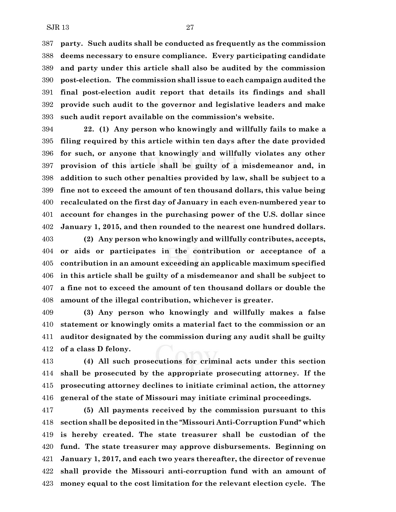**party. Such audits shall be conducted as frequently as the commission deems necessary to ensure compliance. Every participating candidate and party under this article shall also be audited by the commission post-election. The commission shall issue to each campaign audited the final post-election audit report that details its findings and shall provide such audit to the governor and legislative leaders and make such audit report available on the commission's website.**

 **22. (1) Any person who knowingly and willfully fails to make a filing required by this article within ten days after the date provided for such, or anyone that knowingly and willfully violates any other provision of this article shall be guilty of a misdemeanor and, in addition to such other penalties provided by law, shall be subject to a fine not to exceed the amount of ten thousand dollars, this value being recalculated on the first day of January in each even-numbered year to account for changes in the purchasing power of the U.S. dollar since January 1, 2015, and then rounded to the nearest one hundred dollars.**

 **(2) Any person who knowingly and willfully contributes, accepts, or aids or participates in the contribution or acceptance of a contribution in an amount exceeding an applicable maximum specified in this article shall be guilty of a misdemeanor and shall be subject to a fine not to exceed the amount of ten thousand dollars or double the amount of the illegal contribution, whichever is greater.**

 **(3) Any person who knowingly and willfully makes a false statement or knowingly omits a material fact to the commission or an auditor designated by the commission during any audit shall be guilty of a class D felony.**

 **(4) All such prosecutions for criminal acts under this section shall be prosecuted by the appropriate prosecuting attorney. If the prosecuting attorney declines to initiate criminal action, the attorney general of the state of Missouri may initiate criminal proceedings.**

 **(5) All payments received by the commission pursuant to this section shall be deposited in the "Missouri Anti-Corruption Fund" which is hereby created. The state treasurer shall be custodian of the fund. The state treasurer may approve disbursements. Beginning on January 1, 2017, and each two years thereafter, the director of revenue shall provide the Missouri anti-corruption fund with an amount of money equal to the cost limitation for the relevant election cycle. The**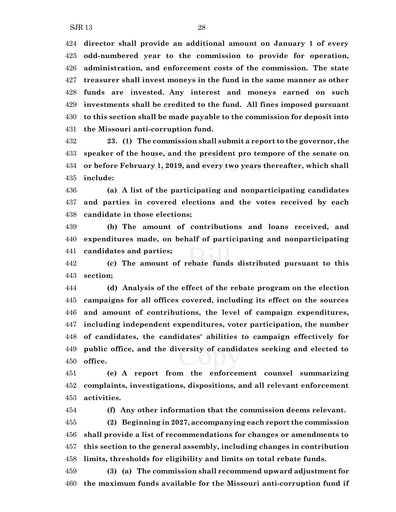**director shall provide an additional amount on January 1 of every odd-numbered year to the commission to provide for operation, administration, and enforcement costs of the commission. The state treasurer shall invest moneys in the fund in the same manner as other funds are invested. Any interest and moneys earned on such investments shall be credited to the fund. All fines imposed pursuant to this section shall be made payable to the commission for deposit into the Missouri anti-corruption fund.**

 **23. (1) The commission shall submit a report to the governor, the speaker of the house, and the president pro tempore of the senate on or before February 1, 2019, and every two years thereafter, which shall include:**

 **(a) A list of the participating and nonparticipating candidates and parties in covered elections and the votes received by each candidate in those elections;**

 **(b) The amount of contributions and loans received, and expenditures made, on behalf of participating and nonparticipating candidates and parties;**

 **(c) The amount of rebate funds distributed pursuant to this section;**

 **(d) Analysis of the effect of the rebate program on the election campaigns for all offices covered, including its effect on the sources and amount of contributions, the level of campaign expenditures, including independent expenditures, voter participation, the number of candidates, the candidates' abilities to campaign effectively for public office, and the diversity of candidates seeking and elected to office.**

 **(e) A report from the enforcement counsel summarizing complaints, investigations, dispositions, and all relevant enforcement activities.**

**(f) Any other information that the commission deems relevant.**

 **(2) Beginning in 2027, accompanying each report the commission shall provide a list of recommendations for changes or amendments to this section to the general assembly, including changes in contribution limits, thresholds for eligibility and limits on total rebate funds.**

 **(3) (a) The commission shall recommend upward adjustment for the maximum funds available for the Missouri anti-corruption fund if**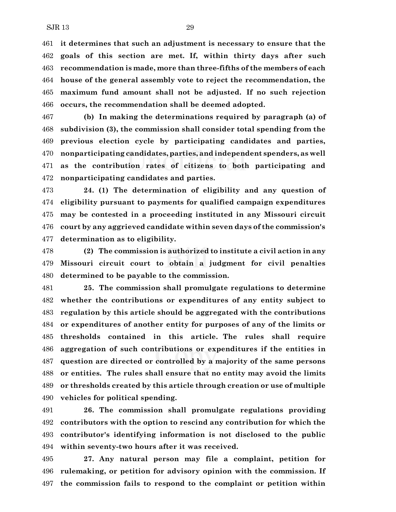**it determines that such an adjustment is necessary to ensure that the goals of this section are met. If, within thirty days after such recommendation is made, more than three-fifths of the members of each house of the general assembly vote to reject the recommendation, the maximum fund amount shall not be adjusted. If no such rejection occurs, the recommendation shall be deemed adopted.**

 **(b) In making the determinations required by paragraph (a) of subdivision (3), the commission shall consider total spending from the previous election cycle by participating candidates and parties, nonparticipating candidates, parties, and independent spenders, as well as the contribution rates of citizens to both participating and nonparticipating candidates and parties.**

 **24. (1) The determination of eligibility and any question of eligibility pursuant to payments for qualified campaign expenditures may be contested in a proceeding instituted in any Missouri circuit court by any aggrieved candidate within seven days of the commission's determination as to eligibility.**

 **(2) The commission is authorized to institute a civil action in any Missouri circuit court to obtain a judgment for civil penalties determined to be payable to the commission.**

 **25. The commission shall promulgate regulations to determine whether the contributions or expenditures of any entity subject to regulation by this article should be aggregated with the contributions or expenditures of another entity for purposes of any of the limits or thresholds contained in this article. The rules shall require aggregation of such contributions or expenditures if the entities in question are directed or controlled by a majority of the same persons or entities. The rules shall ensure that no entity may avoid the limits or thresholds created by this article through creation or use of multiple vehicles for political spending.**

 **26. The commission shall promulgate regulations providing contributors with the option to rescind any contribution for which the contributor's identifying information is not disclosed to the public within seventy-two hours after it was received.**

 **27. Any natural person may file a complaint, petition for rulemaking, or petition for advisory opinion with the commission. If the commission fails to respond to the complaint or petition within**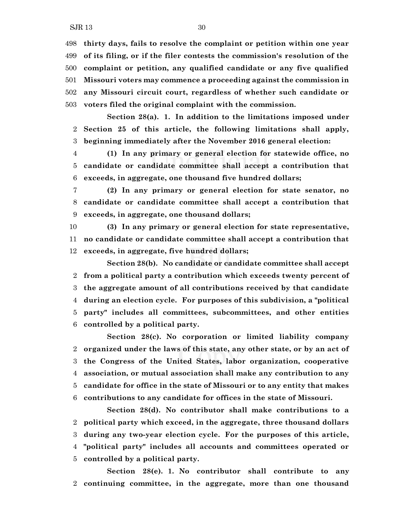**thirty days, fails to resolve the complaint or petition within one year of its filing, or if the filer contests the commission's resolution of the complaint or petition, any qualified candidate or any five qualified Missouri voters may commence a proceeding against the commission in any Missouri circuit court, regardless of whether such candidate or voters filed the original complaint with the commission.**

**Section 28(a). 1. In addition to the limitations imposed under Section 25 of this article, the following limitations shall apply, beginning immediately after the November 2016 general election:**

 **(1) In any primary or general election for statewide office, no candidate or candidate committee shall accept a contribution that exceeds, in aggregate, one thousand five hundred dollars;**

 **(2) In any primary or general election for state senator, no candidate or candidate committee shall accept a contribution that exceeds, in aggregate, one thousand dollars;**

 **(3) In any primary or general election for state representative, no candidate or candidate committee shall accept a contribution that exceeds, in aggregate, five hundred dollars;**

**Section 28(b). No candidate or candidate committee shall accept from a political party a contribution which exceeds twenty percent of the aggregate amount of all contributions received by that candidate during an election cycle. For purposes of this subdivision, a "political party" includes all committees, subcommittees, and other entities controlled by a political party.**

**Section 28(c). No corporation or limited liability company organized under the laws of this state, any other state, or by an act of the Congress of the United States, labor organization, cooperative association, or mutual association shall make any contribution to any candidate for office in the state of Missouri or to any entity that makes contributions to any candidate for offices in the state of Missouri.**

**Section 28(d). No contributor shall make contributions to a political party which exceed, in the aggregate, three thousand dollars during any two-year election cycle. For the purposes of this article, "political party" includes all accounts and committees operated or controlled by a political party.**

**Section 28(e). 1. No contributor shall contribute to any continuing committee, in the aggregate, more than one thousand**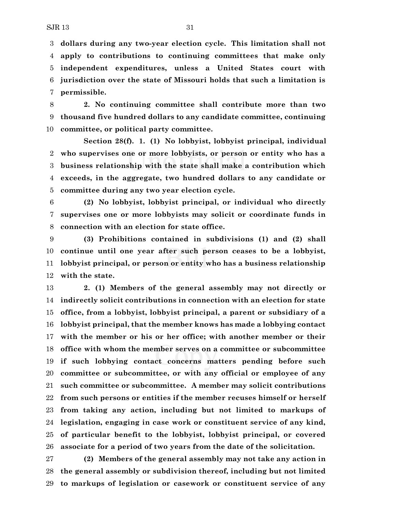**dollars during any two-year election cycle. This limitation shall not apply to contributions to continuing committees that make only independent expenditures, unless a United States court with jurisdiction over the state of Missouri holds that such a limitation is permissible.**

 **2. No continuing committee shall contribute more than two thousand five hundred dollars to any candidate committee, continuing committee, or political party committee.**

**Section 28(f). 1. (1) No lobbyist, lobbyist principal, individual who supervises one or more lobbyists, or person or entity who has a business relationship with the state shall make a contribution which exceeds, in the aggregate, two hundred dollars to any candidate or committee during any two year election cycle.**

 **(2) No lobbyist, lobbyist principal, or individual who directly supervises one or more lobbyists may solicit or coordinate funds in connection with an election for state office.**

 **(3) Prohibitions contained in subdivisions (1) and (2) shall continue until one year after such person ceases to be a lobbyist, lobbyist principal, or person or entity who has a business relationship with the state.**

 **2. (1) Members of the general assembly may not directly or indirectly solicit contributions in connection with an election for state office, from a lobbyist, lobbyist principal, a parent or subsidiary of a lobbyist principal, that the member knows has made a lobbying contact with the member or his or her office; with another member or their office with whom the member serves on a committee or subcommittee if such lobbying contact concerns matters pending before such committee or subcommittee, or with any official or employee of any such committee or subcommittee. A member may solicit contributions from such persons or entities if the member recuses himself or herself from taking any action, including but not limited to markups of legislation, engaging in case work or constituent service of any kind, of particular benefit to the lobbyist, lobbyist principal, or covered associate for a period of two years from the date of the solicitation.**

 **(2) Members of the general assembly may not take any action in the general assembly or subdivision thereof, including but not limited to markups of legislation or casework or constituent service of any**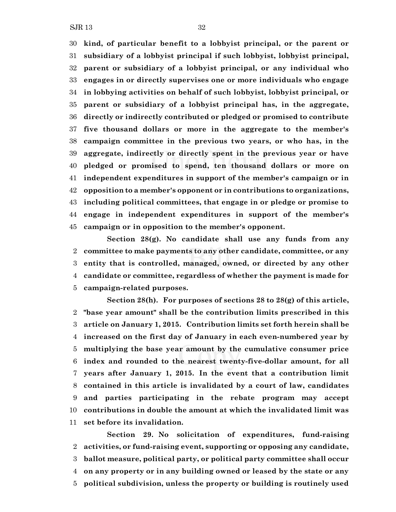**kind, of particular benefit to a lobbyist principal, or the parent or subsidiary of a lobbyist principal if such lobbyist, lobbyist principal, parent or subsidiary of a lobbyist principal, or any individual who engages in or directly supervises one or more individuals who engage in lobbying activities on behalf of such lobbyist, lobbyist principal, or parent or subsidiary of a lobbyist principal has, in the aggregate, directly or indirectly contributed or pledged or promised to contribute five thousand dollars or more in the aggregate to the member's campaign committee in the previous two years, or who has, in the aggregate, indirectly or directly spent in the previous year or have pledged or promised to spend, ten thousand dollars or more on independent expenditures in support of the member's campaign or in opposition to a member's opponent or in contributions to organizations, including political committees, that engage in or pledge or promise to engage in independent expenditures in support of the member's campaign or in opposition to the member's opponent.**

**Section 28(g). No candidate shall use any funds from any committee to make payments to any other candidate, committee, or any entity that is controlled, managed, owned, or directed by any other candidate or committee, regardless of whether the payment is made for campaign-related purposes.**

**Section 28(h). For purposes of sections 28 to 28(g) of this article, "base year amount" shall be the contribution limits prescribed in this article on January 1, 2015. Contribution limits set forth herein shall be increased on the first day of January in each even-numbered year by multiplying the base year amount by the cumulative consumer price index and rounded to the nearest twenty-five-dollar amount, for all years after January 1, 2015. In the event that a contribution limit contained in this article is invalidated by a court of law, candidates and parties participating in the rebate program may accept contributions in double the amount at which the invalidated limit was set before its invalidation.**

**Section 29. No solicitation of expenditures, fund-raising activities, or fund-raising event, supporting or opposing any candidate, ballot measure, political party, or political party committee shall occur on any property or in any building owned or leased by the state or any political subdivision, unless the property or building is routinely used**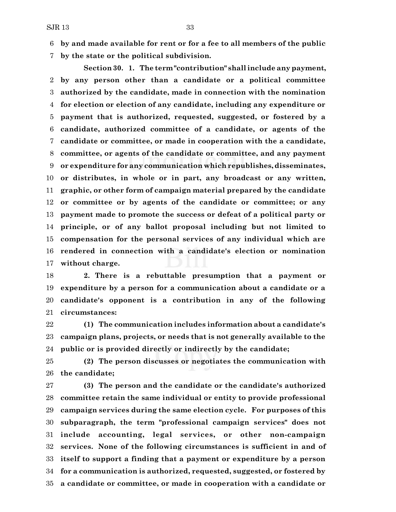**by and made available for rent or for a fee to all members of the public**

**by the state or the political subdivision.**

**Section 30. 1. The term "contribution" shallinclude any payment, by any person other than a candidate or a political committee authorized by the candidate, made in connection with the nomination for election or election of any candidate, including any expenditure or payment that is authorized, requested, suggested, or fostered by a candidate, authorized committee of a candidate, or agents of the candidate or committee, or made in cooperation with the a candidate, committee, or agents of the candidate or committee, and any payment or expenditure for any communication which republishes,disseminates, or distributes, in whole or in part, any broadcast or any written, graphic, or other form of campaign material prepared by the candidate or committee or by agents of the candidate or committee; or any payment made to promote the success or defeat of a political party or principle, or of any ballot proposal including but not limited to compensation for the personal services of any individual which are rendered in connection with a candidate's election or nomination without charge.**

 **2. There is a rebuttable presumption that a payment or expenditure by a person for a communication about a candidate or a candidate's opponent is a contribution in any of the following circumstances:**

 **(1) The communication includes information about a candidate's campaign plans, projects, or needs that is not generally available to the public or is provided directly or indirectly by the candidate;**

 **(2) The person discusses or negotiates the communication with the candidate;**

 **(3) The person and the candidate or the candidate's authorized committee retain the same individual or entity to provide professional campaign services during the same election cycle. For purposes of this subparagraph, the term "professional campaign services" does not include accounting, legal services, or other non-campaign services. None of the following circumstances is sufficient in and of itself to support a finding that a payment or expenditure by a person for a communication is authorized, requested, suggested, or fostered by a candidate or committee, or made in cooperation with a candidate or**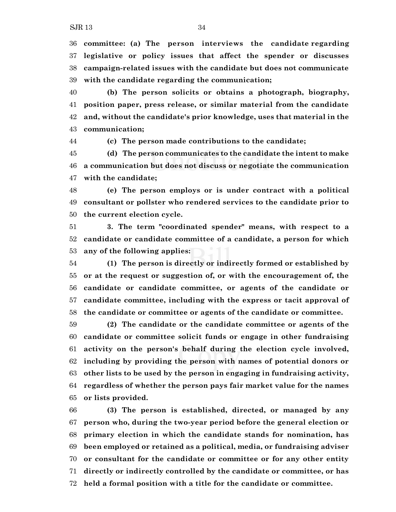**committee: (a) The person interviews the candidate regarding legislative or policy issues that affect the spender or discusses campaign-related issues with the candidate but does not communicate with the candidate regarding the communication;**

 **(b) The person solicits or obtains a photograph, biography, position paper, press release, or similar material from the candidate and, without the candidate's prior knowledge, uses that material in the communication;**

**(c) The person made contributions to the candidate;**

 **(d) The person communicates to the candidate the intent to make a communication but does not discuss or negotiate the communication with the candidate;**

 **(e) The person employs or is under contract with a political consultant or pollster who rendered services to the candidate prior to the current election cycle.**

 **3. The term "coordinated spender" means, with respect to a candidate or candidate committee of a candidate, a person for which any of the following applies:**

 **(1) The person is directly or indirectly formed or established by or at the request or suggestion of, or with the encouragement of, the candidate or candidate committee, or agents of the candidate or candidate committee, including with the express or tacit approval of the candidate or committee or agents of the candidate or committee.**

 **(2) The candidate or the candidate committee or agents of the candidate or committee solicit funds or engage in other fundraising activity on the person's behalf during the election cycle involved, including by providing the person with names of potential donors or other lists to be used by the person in engaging in fundraising activity, regardless of whether the person pays fair market value for the names or lists provided.**

 **(3) The person is established, directed, or managed by any person who, during the two-year period before the general election or primary election in which the candidate stands for nomination, has been employed or retained as a political, media, or fundraising adviser or consultant for the candidate or committee or for any other entity directly or indirectly controlled by the candidate or committee, or has held a formal position with a title for the candidate or committee.**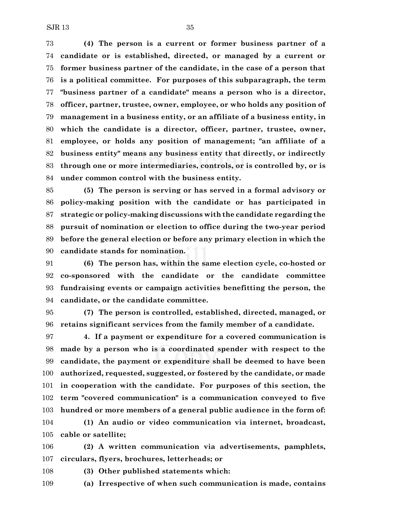**(4) The person is a current or former business partner of a candidate or is established, directed, or managed by a current or former business partner of the candidate, in the case of a person that is a political committee. For purposes of this subparagraph, the term "business partner of a candidate" means a person who is a director, officer, partner, trustee, owner, employee, or who holds any position of management in a business entity, or an affiliate of a business entity, in which the candidate is a director, officer, partner, trustee, owner, employee, or holds any position of management; "an affiliate of a business entity" means any business entity that directly, or indirectly through one or more intermediaries, controls, or is controlled by, or is under common control with the business entity.**

 **(5) The person is serving or has served in a formal advisory or policy-making position with the candidate or has participated in strategic or policy-making discussions with the candidate regarding the pursuit of nomination or election to office during the two-year period before the general election or before any primary election in which the candidate stands for nomination.**

 **(6) The person has, within the same election cycle, co-hosted or co-sponsored with the candidate or the candidate committee fundraising events or campaign activities benefitting the person, the candidate, or the candidate committee.**

 **(7) The person is controlled, established, directed, managed, or retains significant services from the family member of a candidate.**

 **4. If a payment or expenditure for a covered communication is made by a person who is a coordinated spender with respect to the candidate, the payment or expenditure shall be deemed to have been authorized, requested, suggested, or fostered by the candidate, or made in cooperation with the candidate. For purposes of this section, the term "covered communication" is a communication conveyed to five hundred or more members of a general public audience in the form of:**

 **(1) An audio or video communication via internet, broadcast, cable or satellite;**

 **(2) A written communication via advertisements, pamphlets, circulars, flyers, brochures, letterheads; or**

**(3) Other published statements which:**

**(a) Irrespective of when such communication is made, contains**